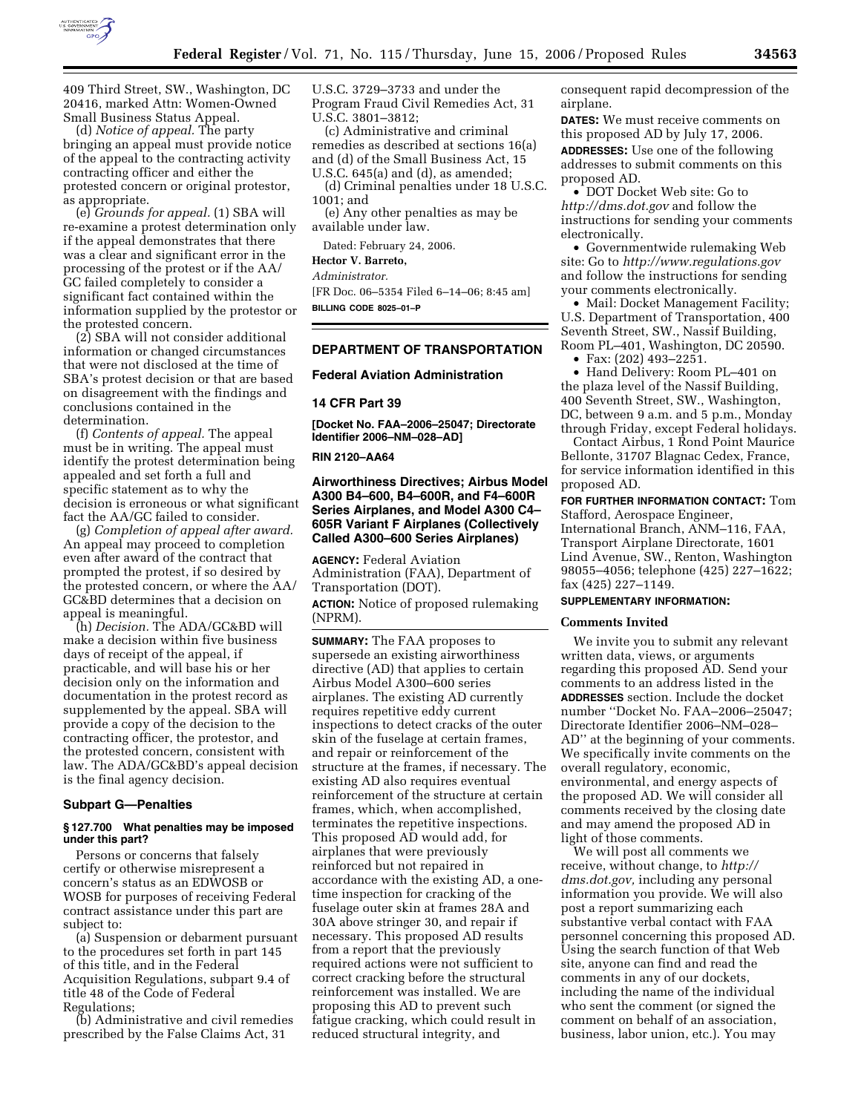

409 Third Street, SW., Washington, DC 20416, marked Attn: Women-Owned Small Business Status Appeal.

(d) *Notice of appeal.* The party bringing an appeal must provide notice of the appeal to the contracting activity contracting officer and either the protested concern or original protestor, as appropriate.

(e) *Grounds for appeal.* (1) SBA will re-examine a protest determination only if the appeal demonstrates that there was a clear and significant error in the processing of the protest or if the AA/ GC failed completely to consider a significant fact contained within the information supplied by the protestor or the protested concern.

(2) SBA will not consider additional information or changed circumstances that were not disclosed at the time of SBA's protest decision or that are based on disagreement with the findings and conclusions contained in the determination.

(f) *Contents of appeal.* The appeal must be in writing. The appeal must identify the protest determination being appealed and set forth a full and specific statement as to why the decision is erroneous or what significant fact the AA/GC failed to consider.

(g) *Completion of appeal after award.*  An appeal may proceed to completion even after award of the contract that prompted the protest, if so desired by the protested concern, or where the AA/ GC&BD determines that a decision on appeal is meaningful.

(h) *Decision.* The ADA/GC&BD will make a decision within five business days of receipt of the appeal, if practicable, and will base his or her decision only on the information and documentation in the protest record as supplemented by the appeal. SBA will provide a copy of the decision to the contracting officer, the protestor, and the protested concern, consistent with law. The ADA/GC&BD's appeal decision is the final agency decision.

### **Subpart G—Penalties**

### **§ 127.700 What penalties may be imposed under this part?**

Persons or concerns that falsely certify or otherwise misrepresent a concern's status as an EDWOSB or WOSB for purposes of receiving Federal contract assistance under this part are subject to:

(a) Suspension or debarment pursuant to the procedures set forth in part 145 of this title, and in the Federal Acquisition Regulations, subpart 9.4 of title 48 of the Code of Federal Regulations;

(b) Administrative and civil remedies prescribed by the False Claims Act, 31

U.S.C. 3729–3733 and under the Program Fraud Civil Remedies Act, 31 U.S.C. 3801–3812;

(c) Administrative and criminal remedies as described at sections 16(a) and (d) of the Small Business Act, 15 U.S.C. 645(a) and (d), as amended;

(d) Criminal penalties under 18 U.S.C. 1001; and

(e) Any other penalties as may be available under law.

Dated: February 24, 2006.

**Hector V. Barreto,** 

*Administrator.* 

[FR Doc. 06–5354 Filed 6–14–06; 8:45 am] **BILLING CODE 8025–01–P** 

## **DEPARTMENT OF TRANSPORTATION**

### **Federal Aviation Administration**

#### **14 CFR Part 39**

**[Docket No. FAA–2006–25047; Directorate Identifier 2006–NM–028–AD]** 

### **RIN 2120–AA64**

## **Airworthiness Directives; Airbus Model A300 B4–600, B4–600R, and F4–600R Series Airplanes, and Model A300 C4– 605R Variant F Airplanes (Collectively Called A300–600 Series Airplanes)**

**AGENCY:** Federal Aviation Administration (FAA), Department of Transportation (DOT). **ACTION:** Notice of proposed rulemaking (NPRM).

**SUMMARY:** The FAA proposes to supersede an existing airworthiness directive (AD) that applies to certain Airbus Model A300–600 series airplanes. The existing AD currently requires repetitive eddy current inspections to detect cracks of the outer skin of the fuselage at certain frames, and repair or reinforcement of the structure at the frames, if necessary. The existing AD also requires eventual reinforcement of the structure at certain frames, which, when accomplished, terminates the repetitive inspections. This proposed AD would add, for airplanes that were previously reinforced but not repaired in accordance with the existing AD, a onetime inspection for cracking of the fuselage outer skin at frames 28A and 30A above stringer 30, and repair if necessary. This proposed AD results from a report that the previously required actions were not sufficient to correct cracking before the structural reinforcement was installed. We are proposing this AD to prevent such fatigue cracking, which could result in reduced structural integrity, and

consequent rapid decompression of the airplane.

**DATES:** We must receive comments on this proposed AD by July 17, 2006.

**ADDRESSES:** Use one of the following addresses to submit comments on this proposed AD.

• DOT Docket Web site: Go to *http://dms.dot.gov* and follow the instructions for sending your comments electronically.

• Governmentwide rulemaking Web site: Go to *http://www.regulations.gov*  and follow the instructions for sending your comments electronically.

• Mail: Docket Management Facility; U.S. Department of Transportation, 400 Seventh Street, SW., Nassif Building, Room PL–401, Washington, DC 20590.

• Fax: (202) 493–2251.

• Hand Delivery: Room PL–401 on the plaza level of the Nassif Building, 400 Seventh Street, SW., Washington, DC, between 9 a.m. and 5 p.m., Monday through Friday, except Federal holidays.

Contact Airbus, 1 Rond Point Maurice Bellonte, 31707 Blagnac Cedex, France, for service information identified in this proposed AD.

**FOR FURTHER INFORMATION CONTACT:** Tom Stafford, Aerospace Engineer, International Branch, ANM–116, FAA, Transport Airplane Directorate, 1601 Lind Avenue, SW., Renton, Washington 98055–4056; telephone (425) 227–1622; fax (425) 227–1149.

#### **SUPPLEMENTARY INFORMATION:**

#### **Comments Invited**

We invite you to submit any relevant written data, views, or arguments regarding this proposed AD. Send your comments to an address listed in the **ADDRESSES** section. Include the docket number ''Docket No. FAA–2006–25047; Directorate Identifier 2006–NM–028– AD'' at the beginning of your comments. We specifically invite comments on the overall regulatory, economic, environmental, and energy aspects of the proposed AD. We will consider all comments received by the closing date and may amend the proposed AD in light of those comments.

We will post all comments we receive, without change, to *http:// dms.dot.gov,* including any personal information you provide. We will also post a report summarizing each substantive verbal contact with FAA personnel concerning this proposed AD. Using the search function of that Web site, anyone can find and read the comments in any of our dockets, including the name of the individual who sent the comment (or signed the comment on behalf of an association, business, labor union, etc.). You may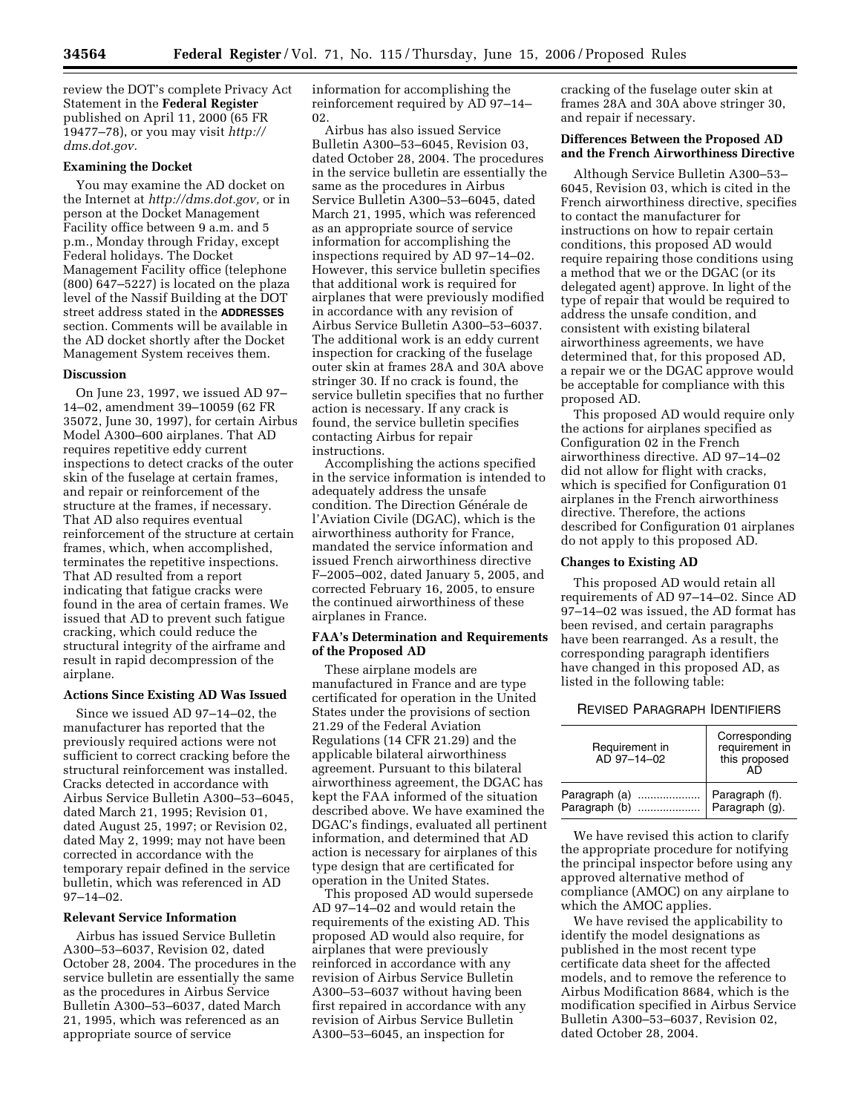review the DOT's complete Privacy Act Statement in the **Federal Register**  published on April 11, 2000 (65 FR 19477–78), or you may visit *http:// dms.dot.gov.* 

### **Examining the Docket**

You may examine the AD docket on the Internet at *http://dms.dot.gov,* or in person at the Docket Management Facility office between 9 a.m. and 5 p.m., Monday through Friday, except Federal holidays. The Docket Management Facility office (telephone (800) 647–5227) is located on the plaza level of the Nassif Building at the DOT street address stated in the **ADDRESSES** section. Comments will be available in the AD docket shortly after the Docket Management System receives them.

#### **Discussion**

On June 23, 1997, we issued AD 97– 14–02, amendment 39–10059 (62 FR 35072, June 30, 1997), for certain Airbus Model A300–600 airplanes. That AD requires repetitive eddy current inspections to detect cracks of the outer skin of the fuselage at certain frames, and repair or reinforcement of the structure at the frames, if necessary. That AD also requires eventual reinforcement of the structure at certain frames, which, when accomplished, terminates the repetitive inspections. That AD resulted from a report indicating that fatigue cracks were found in the area of certain frames. We issued that AD to prevent such fatigue cracking, which could reduce the structural integrity of the airframe and result in rapid decompression of the airplane.

## **Actions Since Existing AD Was Issued**

Since we issued AD 97–14–02, the manufacturer has reported that the previously required actions were not sufficient to correct cracking before the structural reinforcement was installed. Cracks detected in accordance with Airbus Service Bulletin A300–53–6045, dated March 21, 1995; Revision 01, dated August 25, 1997; or Revision 02, dated May 2, 1999; may not have been corrected in accordance with the temporary repair defined in the service bulletin, which was referenced in AD 97–14–02.

## **Relevant Service Information**

Airbus has issued Service Bulletin A300–53–6037, Revision 02, dated October 28, 2004. The procedures in the service bulletin are essentially the same as the procedures in Airbus Service Bulletin A300–53–6037, dated March 21, 1995, which was referenced as an appropriate source of service

information for accomplishing the reinforcement required by AD 97–14– 02.

Airbus has also issued Service Bulletin A300–53–6045, Revision 03, dated October 28, 2004. The procedures in the service bulletin are essentially the same as the procedures in Airbus Service Bulletin A300–53–6045, dated March 21, 1995, which was referenced as an appropriate source of service information for accomplishing the inspections required by AD 97–14–02. However, this service bulletin specifies that additional work is required for airplanes that were previously modified in accordance with any revision of Airbus Service Bulletin A300–53–6037. The additional work is an eddy current inspection for cracking of the fuselage outer skin at frames 28A and 30A above stringer 30. If no crack is found, the service bulletin specifies that no further action is necessary. If any crack is found, the service bulletin specifies contacting Airbus for repair instructions.

Accomplishing the actions specified in the service information is intended to adequately address the unsafe condition. The Direction Générale de l'Aviation Civile (DGAC), which is the airworthiness authority for France, mandated the service information and issued French airworthiness directive F–2005–002, dated January 5, 2005, and corrected February 16, 2005, to ensure the continued airworthiness of these airplanes in France.

## **FAA's Determination and Requirements of the Proposed AD**

These airplane models are manufactured in France and are type certificated for operation in the United States under the provisions of section 21.29 of the Federal Aviation Regulations (14 CFR 21.29) and the applicable bilateral airworthiness agreement. Pursuant to this bilateral airworthiness agreement, the DGAC has kept the FAA informed of the situation described above. We have examined the DGAC's findings, evaluated all pertinent information, and determined that AD action is necessary for airplanes of this type design that are certificated for operation in the United States.

This proposed AD would supersede AD 97–14–02 and would retain the requirements of the existing AD. This proposed AD would also require, for airplanes that were previously reinforced in accordance with any revision of Airbus Service Bulletin A300–53–6037 without having been first repaired in accordance with any revision of Airbus Service Bulletin A300–53–6045, an inspection for

cracking of the fuselage outer skin at frames 28A and 30A above stringer 30, and repair if necessary.

## **Differences Between the Proposed AD and the French Airworthiness Directive**

Although Service Bulletin A300–53– 6045, Revision 03, which is cited in the French airworthiness directive, specifies to contact the manufacturer for instructions on how to repair certain conditions, this proposed AD would require repairing those conditions using a method that we or the DGAC (or its delegated agent) approve. In light of the type of repair that would be required to address the unsafe condition, and consistent with existing bilateral airworthiness agreements, we have determined that, for this proposed AD, a repair we or the DGAC approve would be acceptable for compliance with this proposed AD.

This proposed AD would require only the actions for airplanes specified as Configuration 02 in the French airworthiness directive. AD 97–14–02 did not allow for flight with cracks, which is specified for Configuration 01 airplanes in the French airworthiness directive. Therefore, the actions described for Configuration 01 airplanes do not apply to this proposed AD.

### **Changes to Existing AD**

This proposed AD would retain all requirements of AD 97–14–02. Since AD 97–14–02 was issued, the AD format has been revised, and certain paragraphs have been rearranged. As a result, the corresponding paragraph identifiers have changed in this proposed AD, as listed in the following table:

## REVISED PARAGRAPH IDENTIFIERS

| Requirement in<br>AD 97-14-02 | Corresponding<br>requirement in<br>this proposed<br>AD |  |
|-------------------------------|--------------------------------------------------------|--|
| Paragraph (a)                 | Paragraph (f).                                         |  |
| Paragraph (b)                 | Paragraph (g).                                         |  |

We have revised this action to clarify the appropriate procedure for notifying the principal inspector before using any approved alternative method of compliance (AMOC) on any airplane to which the AMOC applies.

We have revised the applicability to identify the model designations as published in the most recent type certificate data sheet for the affected models, and to remove the reference to Airbus Modification 8684, which is the modification specified in Airbus Service Bulletin A300–53–6037, Revision 02, dated October 28, 2004.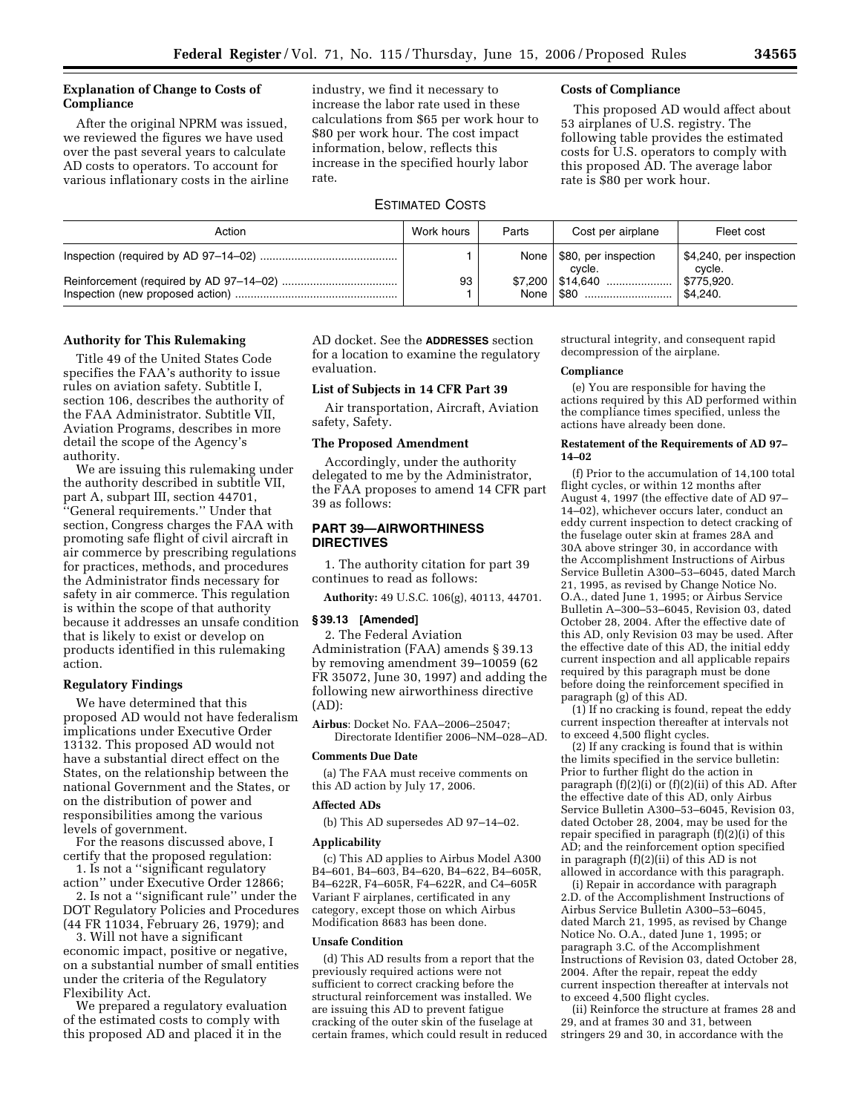## **Explanation of Change to Costs of Compliance**

After the original NPRM was issued, we reviewed the figures we have used over the past several years to calculate AD costs to operators. To account for various inflationary costs in the airline industry, we find it necessary to increase the labor rate used in these calculations from \$65 per work hour to \$80 per work hour. The cost impact information, below, reflects this increase in the specified hourly labor rate.

## ESTIMATED COSTS

## **Costs of Compliance**

This proposed AD would affect about 53 airplanes of U.S. registry. The following table provides the estimated costs for U.S. operators to comply with this proposed AD. The average labor rate is \$80 per work hour.

| Action | Work hours | Parts | Cost per airplane                     | Fleet cost                        |
|--------|------------|-------|---------------------------------------|-----------------------------------|
|        |            |       | None   \$80, per inspection<br>cycle. | \$4,240, per inspection<br>cycle. |
|        | 93         |       | $$7,200$   \$14,640<br>None   \$80    | \$775,920.<br>\$4.240.            |

### **Authority for This Rulemaking**

Title 49 of the United States Code specifies the FAA's authority to issue rules on aviation safety. Subtitle I, section 106, describes the authority of the FAA Administrator. Subtitle VII, Aviation Programs, describes in more detail the scope of the Agency's authority.

We are issuing this rulemaking under the authority described in subtitle VII, part A, subpart III, section 44701, ''General requirements.'' Under that section, Congress charges the FAA with promoting safe flight of civil aircraft in air commerce by prescribing regulations for practices, methods, and procedures the Administrator finds necessary for safety in air commerce. This regulation is within the scope of that authority because it addresses an unsafe condition that is likely to exist or develop on products identified in this rulemaking action.

### **Regulatory Findings**

We have determined that this proposed AD would not have federalism implications under Executive Order 13132. This proposed AD would not have a substantial direct effect on the States, on the relationship between the national Government and the States, or on the distribution of power and responsibilities among the various levels of government.

For the reasons discussed above, I certify that the proposed regulation:

1. Is not a ''significant regulatory action'' under Executive Order 12866; 2. Is not a ''significant rule'' under the

DOT Regulatory Policies and Procedures (44 FR 11034, February 26, 1979); and

3. Will not have a significant economic impact, positive or negative, on a substantial number of small entities under the criteria of the Regulatory Flexibility Act.

We prepared a regulatory evaluation of the estimated costs to comply with this proposed AD and placed it in the

AD docket. See the **ADDRESSES** section for a location to examine the regulatory evaluation.

## **List of Subjects in 14 CFR Part 39**

Air transportation, Aircraft, Aviation safety, Safety.

#### **The Proposed Amendment**

Accordingly, under the authority delegated to me by the Administrator, the FAA proposes to amend 14 CFR part 39 as follows:

## **PART 39—AIRWORTHINESS DIRECTIVES**

1. The authority citation for part 39 continues to read as follows:

**Authority:** 49 U.S.C. 106(g), 40113, 44701.

## **§ 39.13 [Amended]**

2. The Federal Aviation Administration (FAA) amends § 39.13 by removing amendment 39–10059 (62 FR 35072, June 30, 1997) and adding the following new airworthiness directive (AD):

**Airbus**: Docket No. FAA–2006–25047; Directorate Identifier 2006–NM–028–AD.

### **Comments Due Date**

(a) The FAA must receive comments on this AD action by July 17, 2006.

## **Affected ADs**

(b) This AD supersedes AD 97–14–02.

### **Applicability**

(c) This AD applies to Airbus Model A300 B4–601, B4–603, B4–620, B4–622, B4–605R, B4–622R, F4–605R, F4–622R, and C4–605R Variant F airplanes, certificated in any category, except those on which Airbus Modification 8683 has been done.

#### **Unsafe Condition**

(d) This AD results from a report that the previously required actions were not sufficient to correct cracking before the structural reinforcement was installed. We are issuing this AD to prevent fatigue cracking of the outer skin of the fuselage at certain frames, which could result in reduced structural integrity, and consequent rapid decompression of the airplane.

#### **Compliance**

(e) You are responsible for having the actions required by this AD performed within the compliance times specified, unless the actions have already been done.

#### **Restatement of the Requirements of AD 97– 14–02**

(f) Prior to the accumulation of 14,100 total flight cycles, or within 12 months after August 4, 1997 (the effective date of AD 97– 14–02), whichever occurs later, conduct an eddy current inspection to detect cracking of the fuselage outer skin at frames 28A and 30A above stringer 30, in accordance with the Accomplishment Instructions of Airbus Service Bulletin A300–53–6045, dated March 21, 1995, as revised by Change Notice No. O.A., dated June 1, 1995; or Airbus Service Bulletin A–300–53–6045, Revision 03, dated October 28, 2004. After the effective date of this AD, only Revision 03 may be used. After the effective date of this AD, the initial eddy current inspection and all applicable repairs required by this paragraph must be done before doing the reinforcement specified in paragraph (g) of this AD.

(1) If no cracking is found, repeat the eddy current inspection thereafter at intervals not to exceed 4,500 flight cycles.

(2) If any cracking is found that is within the limits specified in the service bulletin: Prior to further flight do the action in paragraph (f)(2)(i) or (f)(2)(ii) of this AD. After the effective date of this AD, only Airbus Service Bulletin A300–53–6045, Revision 03, dated October 28, 2004, may be used for the repair specified in paragraph (f)(2)(i) of this AD; and the reinforcement option specified in paragraph (f)(2)(ii) of this AD is not allowed in accordance with this paragraph.

(i) Repair in accordance with paragraph 2.D. of the Accomplishment Instructions of Airbus Service Bulletin A300–53–6045, dated March 21, 1995, as revised by Change Notice No. O.A., dated June 1, 1995; or paragraph 3.C. of the Accomplishment Instructions of Revision 03, dated October 28, 2004. After the repair, repeat the eddy current inspection thereafter at intervals not to exceed 4,500 flight cycles.

(ii) Reinforce the structure at frames 28 and 29, and at frames 30 and 31, between stringers 29 and 30, in accordance with the